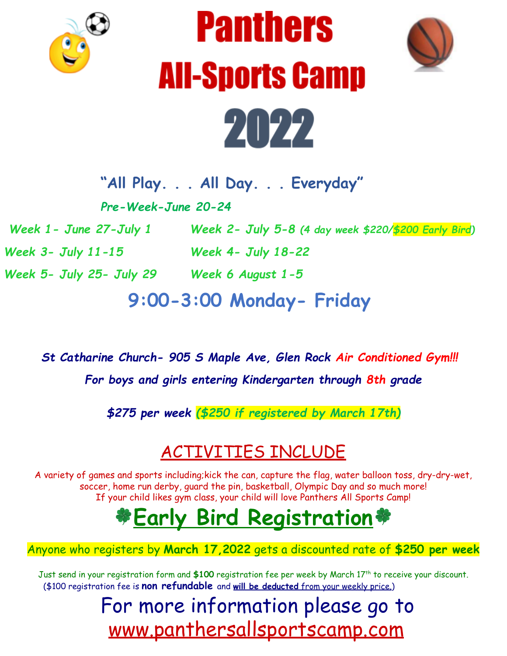





**"All Play. . . All Day. . . Everyday"**

*Pre-Week-June 20-24*

*Week 1- June 27-July 1 Week 2- July 5-8 (4 day week \$220/\$200 Early Bird)*

*Week 5- July 25- July 29 Week 6 August 1-5*

*Week 3- July 11-15 Week 4- July 18-22*

**9:00-3:00 Monday- Friday**

*St Catharine Church- 905 S Maple Ave, Glen Rock Air Conditioned Gym!!! For boys and girls entering Kindergarten through 8th grade*

*\$275 per week (\$250 if registered by March 17th)*

## ACTIVITIES INCLUDE

A variety of games and sports including;kick the can, capture the flag, water balloon toss, dry-dry-wet, soccer, home run derby, guard the pin, basketball, Olympic Day and so much more! If your child likes gym class, your child will love Panthers All Sports Camp!

## **Early Bird Registration**

## Anyone who registers by **March 17,2022** gets a discounted rate of **\$250 per week**

Just send in your registration form and \$100 registration fee per week by March 17<sup>th</sup> to receive your discount. (\$100 registration fee is **non refundable** and **will be deducted** from your weekly price.)

## For more information please go to [www.panthersallsportscamp.com](http://www.panthersallsportscamp.com)